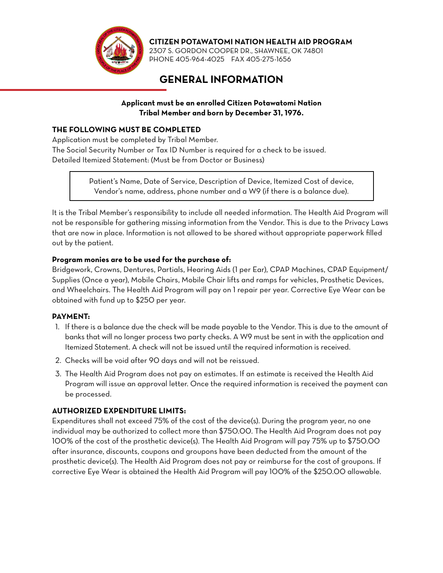

**CITIZEN POTAWATOMI NATION HEALTH AID PROGRAM**

2307 S. GORDON COOPER DR., SHAWNEE, OK 74801 PHONE 405-964-4025 FAX 405-275-1656

# **GENERAL INFORMATION**

**Applicant must be an enrolled Citizen Potawatomi Nation Tribal Member and born by December 31, 1976.** 

#### **THE FOLLOWING MUST BE COMPLETED**

Application must be completed by Tribal Member.

The Social Security Number or Tax ID Number is required for a check to be issued. Detailed Itemized Statement: (Must be from Doctor or Business)

> Patient's Name, Date of Service, Description of Device, Itemized Cost of device, Vendor's name, address, phone number and a W9 (if there is a balance due).

It is the Tribal Member's responsibility to include all needed information. The Health Aid Program will not be responsible for gathering missing information from the Vendor. This is due to the Privacy Laws that are now in place. Information is not allowed to be shared without appropriate paperwork filled out by the patient.

#### **Program monies are to be used for the purchase of:**

Bridgework, Crowns, Dentures, Partials, Hearing Aids (1 per Ear), CPAP Machines, CPAP Equipment/ Supplies (Once a year), Mobile Chairs, Mobile Chair lifts and ramps for vehicles, Prosthetic Devices, and Wheelchairs. The Health Aid Program will pay on 1 repair per year. Corrective Eye Wear can be obtained with fund up to \$250 per year.

#### **PAYMENT:**

- 1. If there is a balance due the check will be made payable to the Vendor. This is due to the amount of banks that will no longer process two party checks. A W9 must be sent in with the application and Itemized Statement. A check will not be issued until the required information is received.
- 2. Checks will be void after 90 days and will not be reissued.
- 3. The Health Aid Program does not pay on estimates. If an estimate is received the Health Aid Program will issue an approval letter. Once the required information is received the payment can be processed.

#### **AUTHORIZED EXPENDITURE LIMITS:**

Expenditures shall not exceed 75% of the cost of the device(s). During the program year, no one individual may be authorized to collect more than \$750.00. The Health Aid Program does not pay 100% of the cost of the prosthetic device(s). The Health Aid Program will pay 75% up to \$750.00 after insurance, discounts, coupons and groupons have been deducted from the amount of the prosthetic device(s). The Health Aid Program does not pay or reimburse for the cost of groupons. If corrective Eye Wear is obtained the Health Aid Program will pay 100% of the \$250.00 allowable.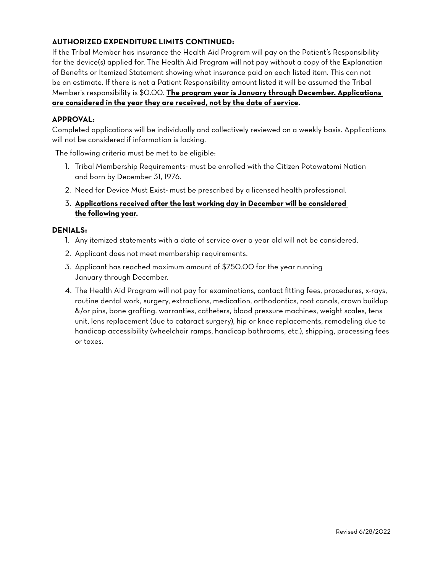### **AUTHORIZED EXPENDITURE LIMITS CONTINUED:**

If the Tribal Member has insurance the Health Aid Program will pay on the Patient's Responsibility for the device(s) applied for. The Health Aid Program will not pay without a copy of the Explanation of Benefits or Itemized Statement showing what insurance paid on each listed item. This can not be an estimate. If there is not a Patient Responsibility amount listed it will be assumed the Tribal Member's responsibility is \$0.00. **The program year is January through December. Applications are considered in the year they are received, not by the date of service.**

#### **APPROVAL:**

Completed applications will be individually and collectively reviewed on a weekly basis. Applications will not be considered if information is lacking.

The following criteria must be met to be eligible:

- 1. Tribal Membership Requirements- must be enrolled with the Citizen Potawatomi Nation and born by December 31, 1976.
- 2. Need for Device Must Exist- must be prescribed by a licensed health professional.

#### 3. **Applications received after the last working day in December will be considered the following year.**

#### **DENIALS:**

- 1. Any itemized statements with a date of service over a year old will not be considered.
- 2. Applicant does not meet membership requirements.
- 3. Applicant has reached maximum amount of \$750.00 for the year running January through December.
- 4. The Health Aid Program will not pay for examinations, contact fitting fees, procedures, x-rays, routine dental work, surgery, extractions, medication, orthodontics, root canals, crown buildup &/or pins, bone grafting, warranties, catheters, blood pressure machines, weight scales, tens unit, lens replacement (due to cataract surgery), hip or knee replacements, remodeling due to handicap accessibility (wheelchair ramps, handicap bathrooms, etc.), shipping, processing fees or taxes.